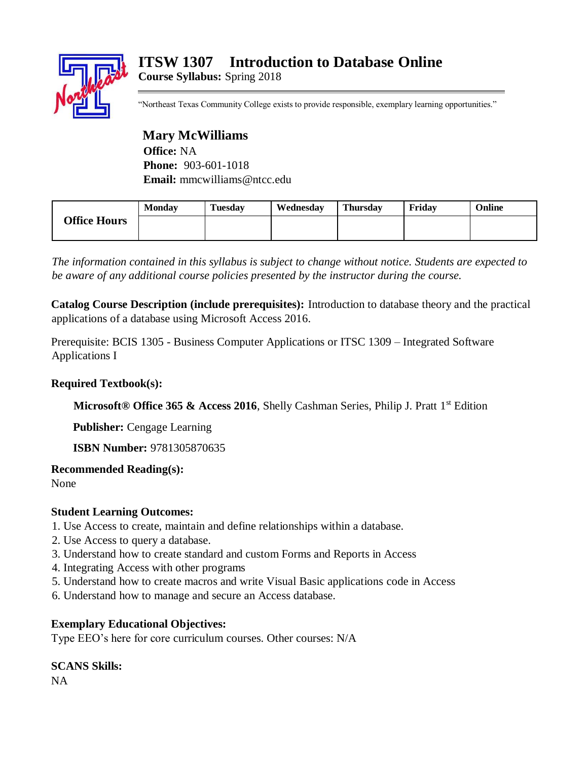## **ITSW 1307 Introduction to Database Online Course Syllabus:** Spring 2018



"Northeast Texas Community College exists to provide responsible, exemplary learning opportunities."

## **Mary McWilliams**

**Office:** NA **Phone:** 903-601-1018 **Email:** mmcwilliams@ntcc.edu

| <b>Office Hours</b> | <b>Monday</b> | <b>Tuesday</b> | Wednesdav | <b>Thursday</b> | Fridav | Online |
|---------------------|---------------|----------------|-----------|-----------------|--------|--------|
|                     |               |                |           |                 |        |        |

*The information contained in this syllabus is subject to change without notice. Students are expected to be aware of any additional course policies presented by the instructor during the course.* 

**Catalog Course Description (include prerequisites):** Introduction to database theory and the practical applications of a database using Microsoft Access 2016.

Prerequisite: BCIS 1305 - Business Computer Applications or ITSC 1309 – Integrated Software Applications I

#### **Required Textbook(s):**

**Microsoft® Office 365 & Access 2016**, Shelly Cashman Series, Philip J. Pratt 1<sup>st</sup> Edition

**Publisher:** Cengage Learning

**ISBN Number:** 9781305870635

**Recommended Reading(s):**

None

## **Student Learning Outcomes:**

- 1. Use Access to create, maintain and define relationships within a database.
- 2. Use Access to query a database.
- 3. Understand how to create standard and custom Forms and Reports in Access
- 4. Integrating Access with other programs
- 5. Understand how to create macros and write Visual Basic applications code in Access
- 6. Understand how to manage and secure an Access database.

## **Exemplary Educational Objectives:**

Type EEO's here for core curriculum courses. Other courses: N/A

# **SCANS Skills:**

NA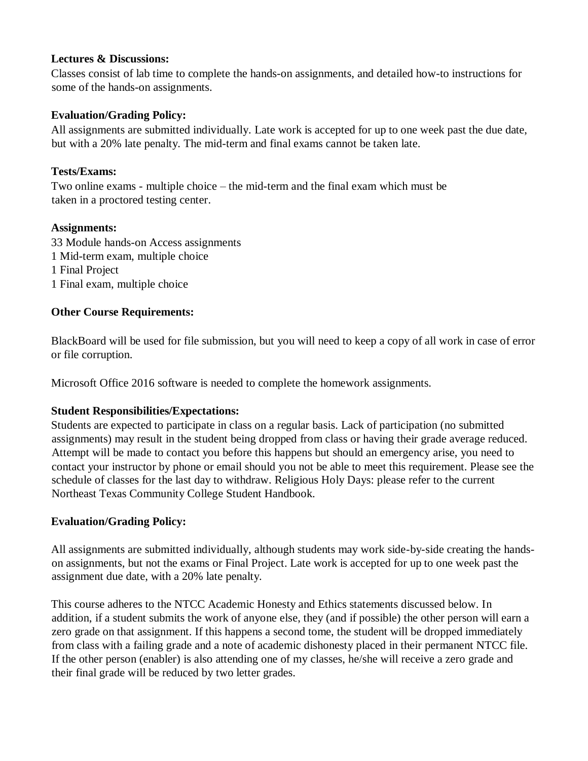#### **Lectures & Discussions:**

Classes consist of lab time to complete the hands-on assignments, and detailed how-to instructions for some of the hands-on assignments.

#### **Evaluation/Grading Policy:**

All assignments are submitted individually. Late work is accepted for up to one week past the due date, but with a 20% late penalty. The mid-term and final exams cannot be taken late.

#### **Tests/Exams:**

Two online exams - multiple choice – the mid-term and the final exam which must be taken in a proctored testing center.

#### **Assignments:**

33 Module hands-on Access assignments 1 Mid-term exam, multiple choice 1 Final Project 1 Final exam, multiple choice

## **Other Course Requirements:**

BlackBoard will be used for file submission, but you will need to keep a copy of all work in case of error or file corruption.

Microsoft Office 2016 software is needed to complete the homework assignments.

## **Student Responsibilities/Expectations:**

Students are expected to participate in class on a regular basis. Lack of participation (no submitted assignments) may result in the student being dropped from class or having their grade average reduced. Attempt will be made to contact you before this happens but should an emergency arise, you need to contact your instructor by phone or email should you not be able to meet this requirement. Please see the schedule of classes for the last day to withdraw. Religious Holy Days: please refer to the current Northeast Texas Community College Student Handbook.

## **Evaluation/Grading Policy:**

All assignments are submitted individually, although students may work side-by-side creating the handson assignments, but not the exams or Final Project. Late work is accepted for up to one week past the assignment due date, with a 20% late penalty.

This course adheres to the NTCC Academic Honesty and Ethics statements discussed below. In addition, if a student submits the work of anyone else, they (and if possible) the other person will earn a zero grade on that assignment. If this happens a second tome, the student will be dropped immediately from class with a failing grade and a note of academic dishonesty placed in their permanent NTCC file. If the other person (enabler) is also attending one of my classes, he/she will receive a zero grade and their final grade will be reduced by two letter grades.